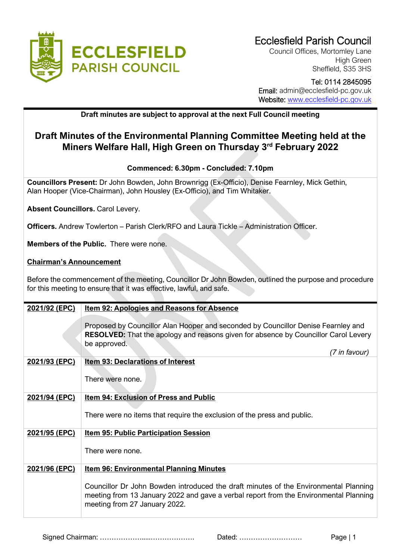

Council Offices, Mortomley Lane High Green Sheffield, S35 3HS

### Tel: 0114 2845095 Email: admin@ecclesfield-pc.gov.uk Website: [www.ecclesfield-pc.gov.uk](http://www.ecclesfield-pc.gov.uk/)

## **Draft minutes are subject to approval at the next Full Council meeting**

# **Draft Minutes of the Environmental Planning Committee Meeting held at the Miners Welfare Hall, High Green on Thursday 3 rd February 2022**

### **Commenced: 6.30pm - Concluded: 7.10pm**

**Councillors Present:** Dr John Bowden, John Brownrigg (Ex-Officio), Denise Fearnley, Mick Gethin, Alan Hooper (Vice-Chairman), John Housley (Ex-Officio), and Tim Whitaker.

**Absent Councillors.** Carol Levery.

**Officers.** Andrew Towlerton – Parish Clerk/RFO and Laura Tickle – Administration Officer.

**Members of the Public.** There were none.

#### **Chairman's Announcement**

Before the commencement of the meeting, Councillor Dr John Bowden, outlined the purpose and procedure for this meeting to ensure that it was effective, lawful, and safe.

| 2021/92 (EPC) | <b>Item 92: Apologies and Reasons for Absence</b><br>Proposed by Councillor Alan Hooper and seconded by Councillor Denise Fearnley and<br><b>RESOLVED:</b> That the apology and reasons given for absence by Councillor Carol Levery<br>be approved.<br>(7 in favour) |  |  |
|---------------|-----------------------------------------------------------------------------------------------------------------------------------------------------------------------------------------------------------------------------------------------------------------------|--|--|
|               |                                                                                                                                                                                                                                                                       |  |  |
| 2021/93 (EPC) | <b>Item 93: Declarations of Interest</b>                                                                                                                                                                                                                              |  |  |
|               | There were none.                                                                                                                                                                                                                                                      |  |  |
| 2021/94 (EPC) | <b>Item 94: Exclusion of Press and Public</b>                                                                                                                                                                                                                         |  |  |
|               | There were no items that require the exclusion of the press and public.                                                                                                                                                                                               |  |  |
| 2021/95 (EPC) | <b>Item 95: Public Participation Session</b>                                                                                                                                                                                                                          |  |  |
|               | There were none.                                                                                                                                                                                                                                                      |  |  |
| 2021/96 (EPC) | <b>Item 96: Environmental Planning Minutes</b>                                                                                                                                                                                                                        |  |  |
|               | Councillor Dr John Bowden introduced the draft minutes of the Environmental Planning<br>meeting from 13 January 2022 and gave a verbal report from the Environmental Planning<br>meeting from 27 January 2022.                                                        |  |  |

Signed Chairman: ……………….....………………. Dated: ……………………… Page | 1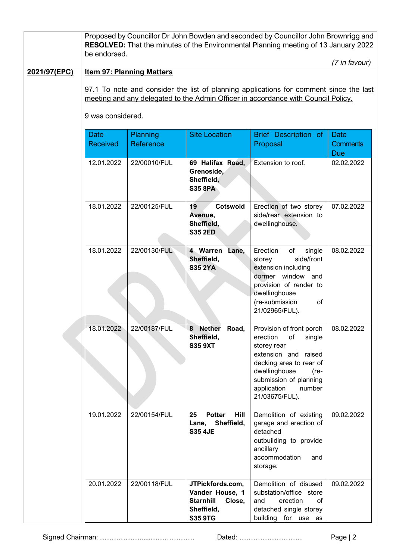|              | Proposed by Councillor Dr John Bowden and seconded by Councillor John Brownrigg and<br>RESOLVED: That the minutes of the Environmental Planning meeting of 13 January 2022<br>be endorsed.                                           |              |                                                                                                   |                                                                                                                                                                                                                      |                               |
|--------------|--------------------------------------------------------------------------------------------------------------------------------------------------------------------------------------------------------------------------------------|--------------|---------------------------------------------------------------------------------------------------|----------------------------------------------------------------------------------------------------------------------------------------------------------------------------------------------------------------------|-------------------------------|
|              |                                                                                                                                                                                                                                      |              |                                                                                                   |                                                                                                                                                                                                                      | (7 in favour)                 |
| 2021/97(EPC) | <b>Item 97: Planning Matters</b><br>97.1 To note and consider the list of planning applications for comment since the last<br>meeting and any delegated to the Admin Officer in accordance with Council Policy.<br>9 was considered. |              |                                                                                                   |                                                                                                                                                                                                                      |                               |
|              | <b>Date</b>                                                                                                                                                                                                                          | Planning     | <b>Site Location</b>                                                                              | Brief Description of                                                                                                                                                                                                 | <b>Date</b>                   |
|              | <b>Received</b>                                                                                                                                                                                                                      | Reference    |                                                                                                   | Proposal                                                                                                                                                                                                             | <b>Comments</b><br><b>Due</b> |
|              | 12.01.2022                                                                                                                                                                                                                           | 22/00010/FUL | 69 Halifax Road,<br>Grenoside,<br>Sheffield,<br><b>S35 8PA</b>                                    | Extension to roof.                                                                                                                                                                                                   | 02.02.2022                    |
|              | 18.01.2022                                                                                                                                                                                                                           | 22/00125/FUL | <b>Cotswold</b><br>19<br>Avenue,<br>Sheffield,<br><b>S35 2ED</b>                                  | Erection of two storey<br>side/rear extension to<br>dwellinghouse.                                                                                                                                                   | 07.02.2022                    |
|              | 18.01.2022                                                                                                                                                                                                                           | 22/00130/FUL | 4 Warren<br>Lane,<br>Sheffield,<br><b>S35 2YA</b>                                                 | Erection<br>of<br>single<br>side/front<br>storey<br>extension including<br>dormer window and<br>provision of render to<br>dwellinghouse<br>(re-submission<br>of<br>21/02965/FUL).                                    | 08.02.2022                    |
|              | 18.01.2022                                                                                                                                                                                                                           | 22/00187/FUL | 8 Nether Road,<br>Sheffield,<br><b>S35 9XT</b>                                                    | Provision of front porch<br>erection<br>of<br>single<br>storey rear<br>extension and raised<br>decking area to rear of<br>dwellinghouse<br>(re-<br>submission of planning<br>application<br>number<br>21/03675/FUL). | 08.02.2022                    |
|              | 19.01.2022                                                                                                                                                                                                                           | 22/00154/FUL | <b>Potter</b><br>25<br>Hill<br>Lane, Sheffield,<br><b>S35 4JE</b>                                 | Demolition of existing<br>garage and erection of<br>detached<br>outbuilding to provide<br>ancillary<br>accommodation<br>and<br>storage.                                                                              | 09.02.2022                    |
|              | 20.01.2022                                                                                                                                                                                                                           | 22/00118/FUL | JTPickfords.com,<br>Vander House, 1<br><b>Starnhill</b><br>Close,<br>Sheffield,<br><b>S35 9TG</b> | Demolition of disused<br>substation/office store<br>erection<br>and<br>οf<br>detached single storey<br>building for use as                                                                                           | 09.02.2022                    |

Signed Chairman: ……………….....………………. Dated: ……………………… Page | 2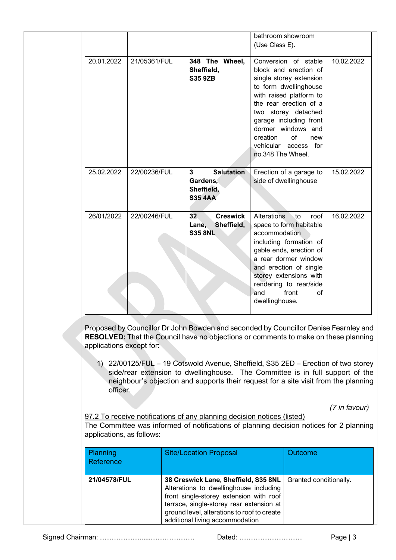|            |              |                                                                    | bathroom showroom                                                                                                                                                                                                                                                                                   |            |
|------------|--------------|--------------------------------------------------------------------|-----------------------------------------------------------------------------------------------------------------------------------------------------------------------------------------------------------------------------------------------------------------------------------------------------|------------|
|            |              |                                                                    | (Use Class E).                                                                                                                                                                                                                                                                                      |            |
| 20.01.2022 | 21/05361/FUL | 348 The<br>Wheel,<br>Sheffield,<br><b>S35 9ZB</b>                  | Conversion of stable<br>block and erection of<br>single storey extension<br>to form dwellinghouse<br>with raised platform to<br>the rear erection of a<br>two storey detached<br>garage including front<br>dormer windows and<br>creation<br>οf<br>new<br>vehicular access for<br>no.348 The Wheel. | 10.02.2022 |
| 25.02.2022 | 22/00236/FUL | <b>Salutation</b><br>3<br>Gardens.<br>Sheffield,<br><b>S35 4AA</b> | Erection of a garage to<br>side of dwellinghouse                                                                                                                                                                                                                                                    | 15.02.2022 |
| 26/01/2022 | 22/00246/FUL | <b>Creswick</b><br>32<br>Sheffield,<br>Lane,<br><b>S35 8NL</b>     | <b>Alterations</b><br>to<br>roof<br>space to form habitable<br>accommodation<br>including formation of<br>gable ends, erection of<br>a rear dormer window<br>and erection of single<br>storey extensions with<br>rendering to rear/side<br>front<br>and<br>οf<br>dwellinghouse.                     | 16.02.2022 |

Proposed by Councillor Dr John Bowden and seconded by Councillor Denise Fearnley and **RESOLVED:** That the Council have no objections or comments to make on these planning applications except for:

1) 22/00125/FUL – 19 Cotswold Avenue, Sheffield, S35 2ED – Erection of two storey side/rear extension to dwellinghouse. The Committee is in full support of the neighbour's objection and supports their request for a site visit from the planning officer.

 *(7 in favour)*

97.2 To receive notifications of any planning decision notices (listed) The Committee was informed of notifications of planning decision notices for 2 planning applications, as follows:

| <b>Planning</b><br>Reference | <b>Site/Location Proposal</b>                                                                                                                                                                                                                           | <b>Outcome</b>         |
|------------------------------|---------------------------------------------------------------------------------------------------------------------------------------------------------------------------------------------------------------------------------------------------------|------------------------|
| 21/04578/FUL                 | 38 Creswick Lane, Sheffield, S35 8NL<br>Alterations to dwellinghouse including<br>front single-storey extension with roof<br>terrace, single-storey rear extension at<br>ground level, alterations to roof to create<br>additional living accommodation | Granted conditionally. |